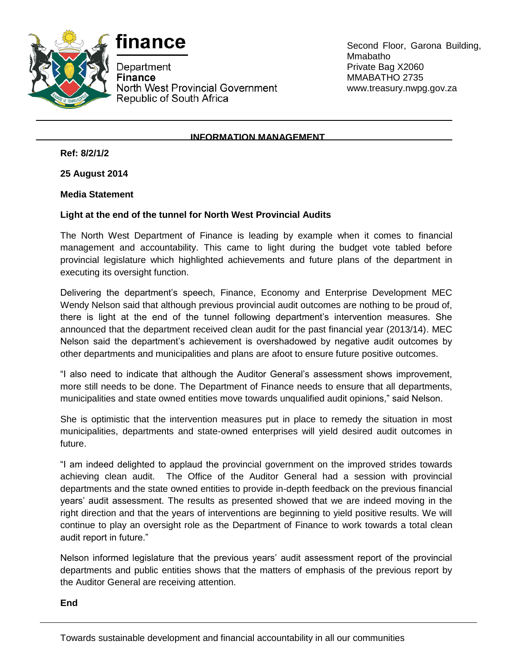



Department **Finance** North West Provincial Government Republic of South Africa

Second Floor, Garona Building, Mmabatho Private Bag X2060 MMABATHO 2735 www.treasury.nwpg.gov.za

## **INFORMATION MANAGEMENT**

**Ref: 8/2/1/2**

**25 August 2014**

## **Media Statement**

## **Light at the end of the tunnel for North West Provincial Audits**

The North West Department of Finance is leading by example when it comes to financial management and accountability. This came to light during the budget vote tabled before provincial legislature which highlighted achievements and future plans of the department in executing its oversight function.

Delivering the department's speech, Finance, Economy and Enterprise Development MEC Wendy Nelson said that although previous provincial audit outcomes are nothing to be proud of, there is light at the end of the tunnel following department's intervention measures. She announced that the department received clean audit for the past financial year (2013/14). MEC Nelson said the department's achievement is overshadowed by negative audit outcomes by other departments and municipalities and plans are afoot to ensure future positive outcomes.

"I also need to indicate that although the Auditor General's assessment shows improvement, more still needs to be done. The Department of Finance needs to ensure that all departments, municipalities and state owned entities move towards unqualified audit opinions," said Nelson.

She is optimistic that the intervention measures put in place to remedy the situation in most municipalities, departments and state-owned enterprises will yield desired audit outcomes in future.

"I am indeed delighted to applaud the provincial government on the improved strides towards achieving clean audit. The Office of the Auditor General had a session with provincial departments and the state owned entities to provide in-depth feedback on the previous financial years' audit assessment. The results as presented showed that we are indeed moving in the right direction and that the years of interventions are beginning to yield positive results. We will continue to play an oversight role as the Department of Finance to work towards a total clean audit report in future."

Nelson informed legislature that the previous years' audit assessment report of the provincial departments and public entities shows that the matters of emphasis of the previous report by the Auditor General are receiving attention.

**End**